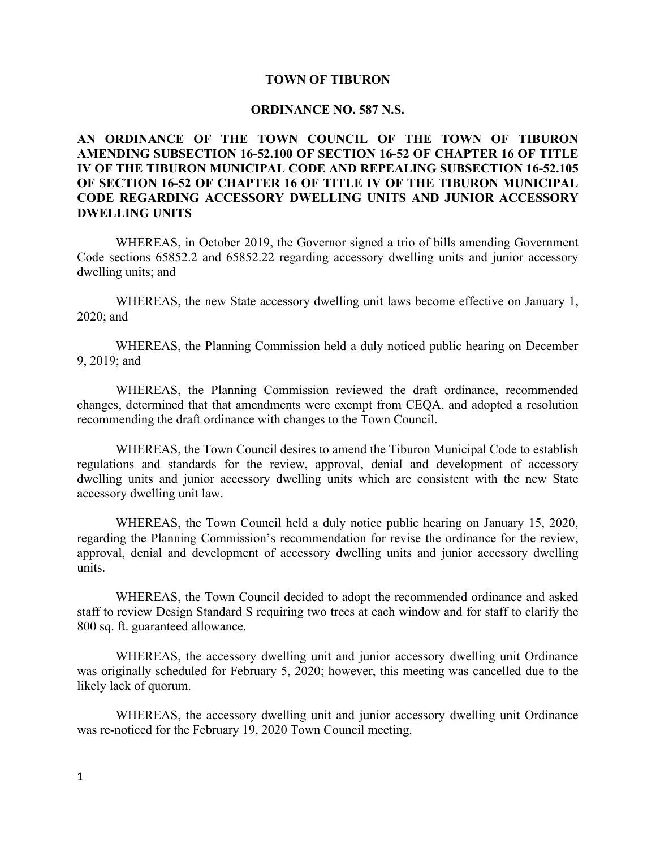### **TOWN OF TIBURON**

#### **ORDINANCE NO. 587 N.S.**

# **AN ORDINANCE OF THE TOWN COUNCIL OF THE TOWN OF TIBURON AMENDING SUBSECTION 16-52.100 OF SECTION 16-52 OF CHAPTER 16 OF TITLE IV OF THE TIBURON MUNICIPAL CODE AND REPEALING SUBSECTION 16-52.105 OF SECTION 16-52 OF CHAPTER 16 OF TITLE IV OF THE TIBURON MUNICIPAL CODE REGARDING ACCESSORY DWELLING UNITS AND JUNIOR ACCESSORY DWELLING UNITS**

WHEREAS, in October 2019, the Governor signed a trio of bills amending Government Code sections 65852.2 and 65852.22 regarding accessory dwelling units and junior accessory dwelling units; and

WHEREAS, the new State accessory dwelling unit laws become effective on January 1, 2020; and

WHEREAS, the Planning Commission held a duly noticed public hearing on December 9, 2019; and

WHEREAS, the Planning Commission reviewed the draft ordinance, recommended changes, determined that that amendments were exempt from CEQA, and adopted a resolution recommending the draft ordinance with changes to the Town Council.

WHEREAS, the Town Council desires to amend the Tiburon Municipal Code to establish regulations and standards for the review, approval, denial and development of accessory dwelling units and junior accessory dwelling units which are consistent with the new State accessory dwelling unit law.

WHEREAS, the Town Council held a duly notice public hearing on January 15, 2020, regarding the Planning Commission's recommendation for revise the ordinance for the review, approval, denial and development of accessory dwelling units and junior accessory dwelling units.

WHEREAS, the Town Council decided to adopt the recommended ordinance and asked staff to review Design Standard S requiring two trees at each window and for staff to clarify the 800 sq. ft. guaranteed allowance.

WHEREAS, the accessory dwelling unit and junior accessory dwelling unit Ordinance was originally scheduled for February 5, 2020; however, this meeting was cancelled due to the likely lack of quorum.

WHEREAS, the accessory dwelling unit and junior accessory dwelling unit Ordinance was re-noticed for the February 19, 2020 Town Council meeting.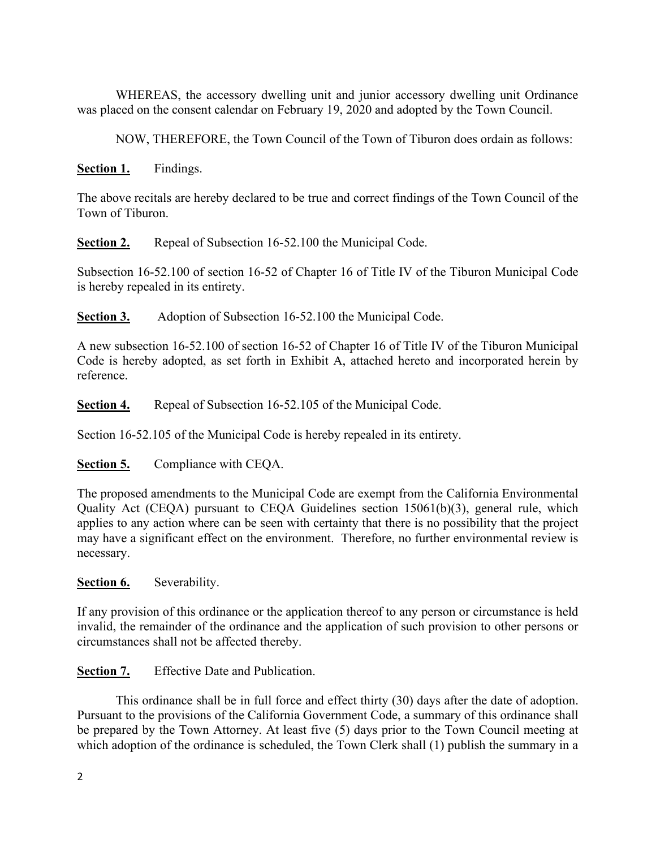WHEREAS, the accessory dwelling unit and junior accessory dwelling unit Ordinance was placed on the consent calendar on February 19, 2020 and adopted by the Town Council.

NOW, THEREFORE, the Town Council of the Town of Tiburon does ordain as follows:

# **Section 1.** Findings.

The above recitals are hereby declared to be true and correct findings of the Town Council of the Town of Tiburon.

**Section 2.** Repeal of Subsection 16-52.100 the Municipal Code.

Subsection 16-52.100 of section 16-52 of Chapter 16 of Title IV of the Tiburon Municipal Code is hereby repealed in its entirety.

**Section 3.** Adoption of Subsection 16-52.100 the Municipal Code.

A new subsection 16-52.100 of section 16-52 of Chapter 16 of Title IV of the Tiburon Municipal Code is hereby adopted, as set forth in Exhibit A, attached hereto and incorporated herein by reference.

**Section 4.** Repeal of Subsection 16-52.105 of the Municipal Code.

Section 16-52.105 of the Municipal Code is hereby repealed in its entirety.

# **Section 5.** Compliance with CEQA.

The proposed amendments to the Municipal Code are exempt from the California Environmental Quality Act (CEQA) pursuant to CEQA Guidelines section 15061(b)(3), general rule, which applies to any action where can be seen with certainty that there is no possibility that the project may have a significant effect on the environment. Therefore, no further environmental review is necessary.

# **Section 6.** Severability.

If any provision of this ordinance or the application thereof to any person or circumstance is held invalid, the remainder of the ordinance and the application of such provision to other persons or circumstances shall not be affected thereby.

**Section 7.** Effective Date and Publication.

This ordinance shall be in full force and effect thirty (30) days after the date of adoption. Pursuant to the provisions of the California Government Code, a summary of this ordinance shall be prepared by the Town Attorney. At least five (5) days prior to the Town Council meeting at which adoption of the ordinance is scheduled, the Town Clerk shall (1) publish the summary in a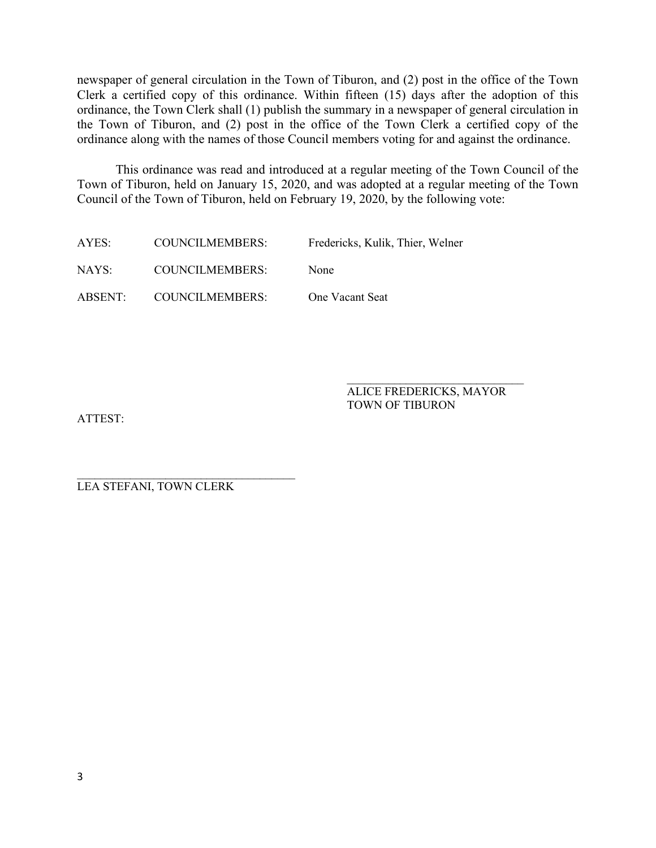newspaper of general circulation in the Town of Tiburon, and (2) post in the office of the Town Clerk a certified copy of this ordinance. Within fifteen (15) days after the adoption of this ordinance, the Town Clerk shall (1) publish the summary in a newspaper of general circulation in the Town of Tiburon, and (2) post in the office of the Town Clerk a certified copy of the ordinance along with the names of those Council members voting for and against the ordinance.

This ordinance was read and introduced at a regular meeting of the Town Council of the Town of Tiburon, held on January 15, 2020, and was adopted at a regular meeting of the Town Council of the Town of Tiburon, held on February 19, 2020, by the following vote:

| AYES:   | COUNCILMEMBERS: | Fredericks, Kulik, Thier, Welner |
|---------|-----------------|----------------------------------|
| NAYS:   | COUNCILMEMBERS: | None                             |
| ABSENT: | COUNCILMEMBERS: | <b>One Vacant Seat</b>           |

ALICE FREDERICKS, MAYOR TOWN OF TIBURON

 $\mathcal{L}_\text{max}$  , where  $\mathcal{L}_\text{max}$  is the set of the set of the set of the set of the set of the set of the set of the set of the set of the set of the set of the set of the set of the set of the set of the set of the se

ATTEST:

\_\_\_\_\_\_\_\_\_\_\_\_\_\_\_\_\_\_\_\_\_\_\_\_\_\_\_\_\_\_\_\_\_\_\_\_\_ LEA STEFANI, TOWN CLERK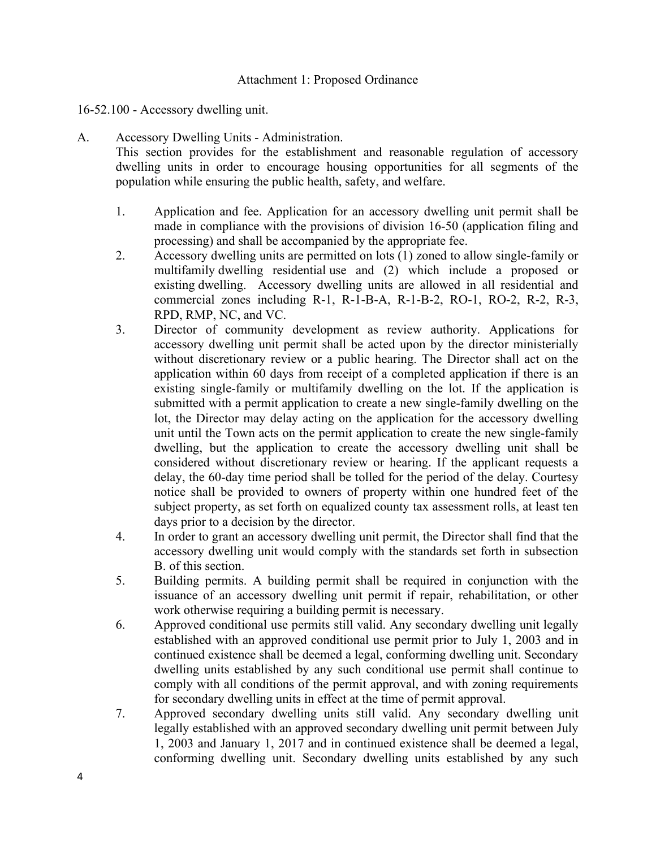### Attachment 1: Proposed Ordinance

# 16-52.100 - Accessory dwelling unit.

# A. Accessory Dwelling Units - Administration.

This section provides for the establishment and reasonable regulation of accessory dwelling units in order to encourage housing opportunities for all segments of the population while ensuring the public health, safety, and welfare.

- 1. Application and fee. Application for an accessory dwelling unit permit shall be made in compliance with the provisions of division 16-50 (application filing and processing) and shall be accompanied by the appropriate fee.
- 2. Accessory dwelling units are permitted on lots (1) zoned to allow single-family or multifamily dwelling residential use and (2) which include a proposed or existing dwelling. Accessory dwelling units are allowed in all residential and commercial zones including R-1, R-1-B-A, R-1-B-2, RO-1, RO-2, R-2, R-3, RPD, RMP, NC, and VC.
- 3. Director of community development as review authority. Applications for accessory dwelling unit permit shall be acted upon by the director ministerially without discretionary review or a public hearing. The Director shall act on the application within 60 days from receipt of a completed application if there is an existing single-family or multifamily dwelling on the lot. If the application is submitted with a permit application to create a new single-family dwelling on the lot, the Director may delay acting on the application for the accessory dwelling unit until the Town acts on the permit application to create the new single-family dwelling, but the application to create the accessory dwelling unit shall be considered without discretionary review or hearing. If the applicant requests a delay, the 60-day time period shall be tolled for the period of the delay. Courtesy notice shall be provided to owners of property within one hundred feet of the subject property, as set forth on equalized county tax assessment rolls, at least ten days prior to a decision by the director.
- 4. In order to grant an accessory dwelling unit permit, the Director shall find that the accessory dwelling unit would comply with the standards set forth in subsection B. of this section.
- 5. Building permits. A building permit shall be required in conjunction with the issuance of an accessory dwelling unit permit if repair, rehabilitation, or other work otherwise requiring a building permit is necessary.
- 6. Approved conditional use permits still valid. Any secondary dwelling unit legally established with an approved conditional use permit prior to July 1, 2003 and in continued existence shall be deemed a legal, conforming dwelling unit. Secondary dwelling units established by any such conditional use permit shall continue to comply with all conditions of the permit approval, and with zoning requirements for secondary dwelling units in effect at the time of permit approval.
- 7. Approved secondary dwelling units still valid. Any secondary dwelling unit legally established with an approved secondary dwelling unit permit between July 1, 2003 and January 1, 2017 and in continued existence shall be deemed a legal, conforming dwelling unit. Secondary dwelling units established by any such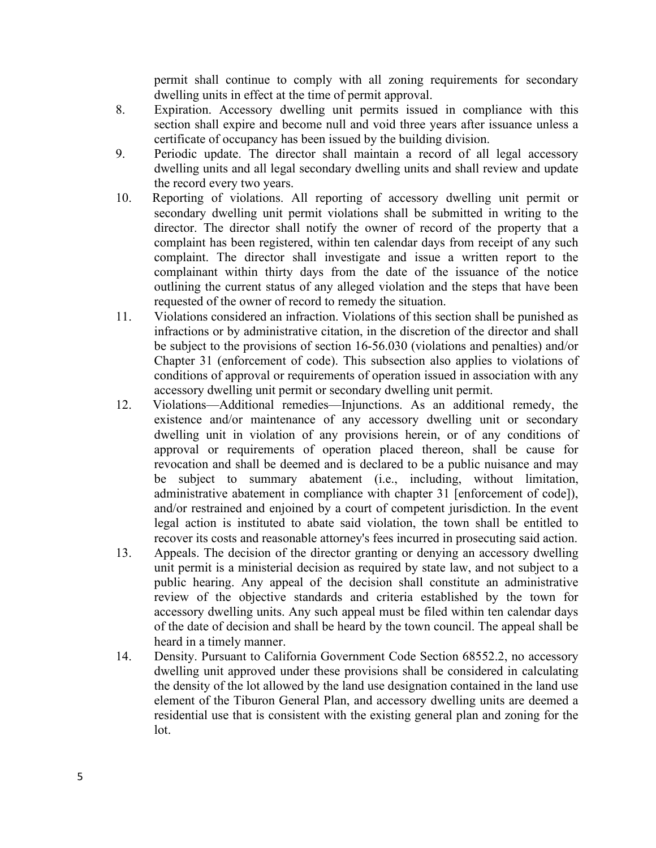permit shall continue to comply with all zoning requirements for secondary dwelling units in effect at the time of permit approval.

- 8. Expiration. Accessory dwelling unit permits issued in compliance with this section shall expire and become null and void three years after issuance unless a certificate of occupancy has been issued by the building division.
- 9. Periodic update. The director shall maintain a record of all legal accessory dwelling units and all legal secondary dwelling units and shall review and update the record every two years.
- 10. Reporting of violations. All reporting of accessory dwelling unit permit or secondary dwelling unit permit violations shall be submitted in writing to the director. The director shall notify the owner of record of the property that a complaint has been registered, within ten calendar days from receipt of any such complaint. The director shall investigate and issue a written report to the complainant within thirty days from the date of the issuance of the notice outlining the current status of any alleged violation and the steps that have been requested of the owner of record to remedy the situation.
- 11. Violations considered an infraction. Violations of this section shall be punished as infractions or by administrative citation, in the discretion of the director and shall be subject to the provisions of section 16-56.030 (violations and penalties) and/or Chapter 31 (enforcement of code). This subsection also applies to violations of conditions of approval or requirements of operation issued in association with any accessory dwelling unit permit or secondary dwelling unit permit.
- 12. Violations—Additional remedies—Injunctions. As an additional remedy, the existence and/or maintenance of any accessory dwelling unit or secondary dwelling unit in violation of any provisions herein, or of any conditions of approval or requirements of operation placed thereon, shall be cause for revocation and shall be deemed and is declared to be a public nuisance and may be subject to summary abatement (i.e., including, without limitation, administrative abatement in compliance with chapter 31 [enforcement of code]), and/or restrained and enjoined by a court of competent jurisdiction. In the event legal action is instituted to abate said violation, the town shall be entitled to recover its costs and reasonable attorney's fees incurred in prosecuting said action.
- 13. Appeals. The decision of the director granting or denying an accessory dwelling unit permit is a ministerial decision as required by state law, and not subject to a public hearing. Any appeal of the decision shall constitute an administrative review of the objective standards and criteria established by the town for accessory dwelling units. Any such appeal must be filed within ten calendar days of the date of decision and shall be heard by the town council. The appeal shall be heard in a timely manner.
- 14. Density. Pursuant to California Government Code Section 68552.2, no accessory dwelling unit approved under these provisions shall be considered in calculating the density of the lot allowed by the land use designation contained in the land use element of the Tiburon General Plan, and accessory dwelling units are deemed a residential use that is consistent with the existing general plan and zoning for the lot.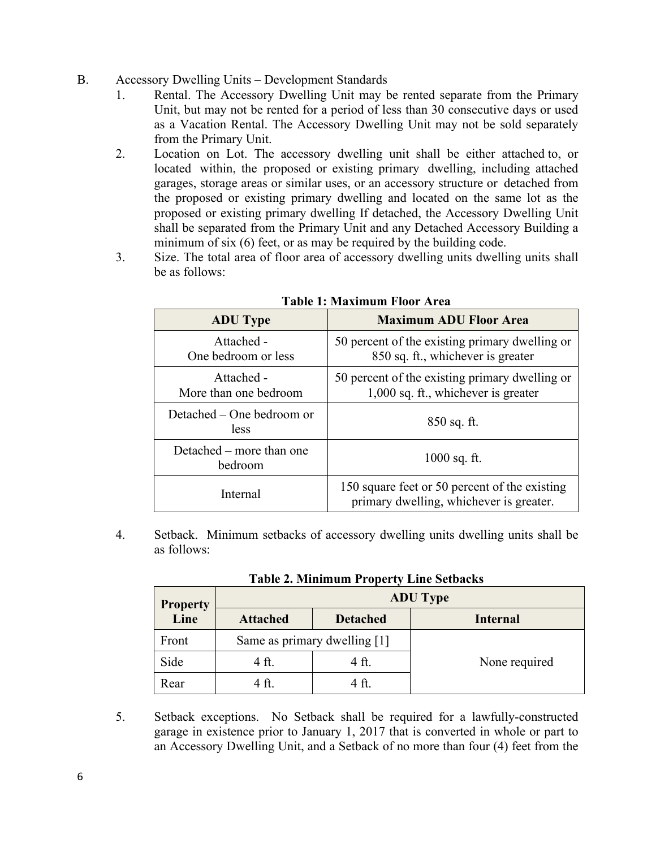- B. Accessory Dwelling Units Development Standards
	- 1. Rental. The Accessory Dwelling Unit may be rented separate from the Primary Unit, but may not be rented for a period of less than 30 consecutive days or used as a Vacation Rental. The Accessory Dwelling Unit may not be sold separately from the Primary Unit.
	- 2. Location on Lot. The accessory dwelling unit shall be either attached to, or located within, the proposed or existing primary dwelling, including attached garages, storage areas or similar uses, or an accessory structure or detached from the proposed or existing primary dwelling and located on the same lot as the proposed or existing primary dwelling If detached, the Accessory Dwelling Unit shall be separated from the Primary Unit and any Detached Accessory Building a minimum of six (6) feet, or as may be required by the building code.
	- 3. Size. The total area of floor area of accessory dwelling units dwelling units shall be as follows:

| <b>ADU</b> Type                          | 1. видиници 1 юл IX С<br><b>Maximum ADU Floor Area</b>                                   |
|------------------------------------------|------------------------------------------------------------------------------------------|
| Attached -<br>One bedroom or less        | 50 percent of the existing primary dwelling or<br>850 sq. ft., whichever is greater      |
| Attached -<br>More than one bedroom      | 50 percent of the existing primary dwelling or<br>1,000 sq. ft., whichever is greater    |
| Detached – One bedroom or<br><i>less</i> | $850$ sq. ft.                                                                            |
| Detached – more than one<br>bedroom      | $1000$ sq. ft.                                                                           |
| Internal                                 | 150 square feet or 50 percent of the existing<br>primary dwelling, whichever is greater. |

**Table 1: Maximum Floor Area**

4. Setback. Minimum setbacks of accessory dwelling units dwelling units shall be as follows:

| <b>Property</b> | <b>ADU</b> Type                    |       |                 |  |
|-----------------|------------------------------------|-------|-----------------|--|
| Line            | <b>Attached</b><br><b>Detached</b> |       | <b>Internal</b> |  |
| Front           | Same as primary dwelling [1]       |       |                 |  |
| Side            | 4 ft.                              | 4 ft. | None required   |  |
| Rear            | 4 ft.                              | 4 ft. |                 |  |

**Table 2. Minimum Property Line Setbacks**

5. Setback exceptions. No Setback shall be required for a lawfully-constructed garage in existence prior to January 1, 2017 that is converted in whole or part to an Accessory Dwelling Unit, and a Setback of no more than four (4) feet from the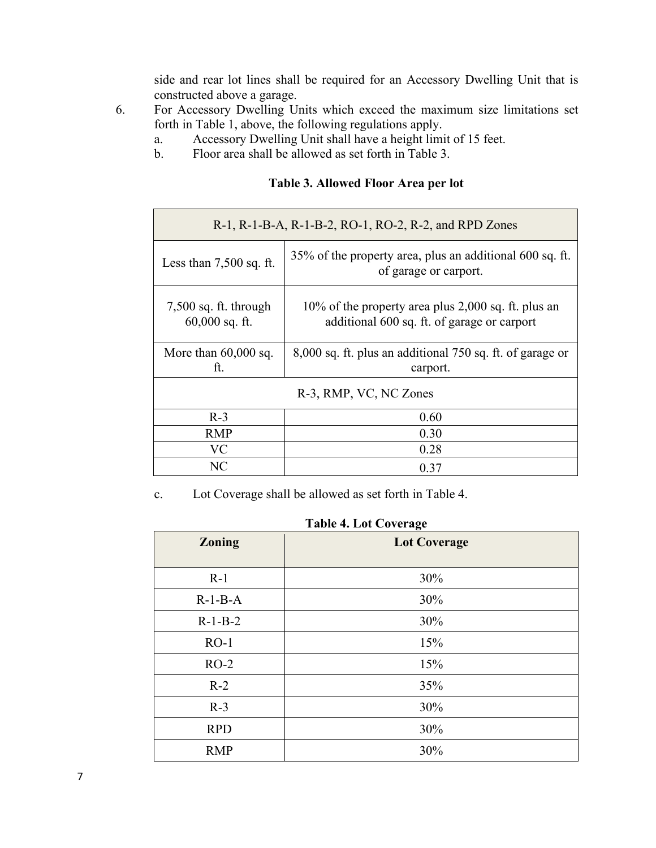side and rear lot lines shall be required for an Accessory Dwelling Unit that is constructed above a garage.

- 6. For Accessory Dwelling Units which exceed the maximum size limitations set forth in Table 1, above, the following regulations apply.
	- a. Accessory Dwelling Unit shall have a height limit of 15 feet.
	- b. Floor area shall be allowed as set forth in Table 3.

|  | Table 3. Allowed Floor Area per lot |  |  |  |  |
|--|-------------------------------------|--|--|--|--|
|--|-------------------------------------|--|--|--|--|

| R-1, R-1-B-A, R-1-B-2, RO-1, RO-2, R-2, and RPD Zones                                                                                             |                                                                                   |  |  |
|---------------------------------------------------------------------------------------------------------------------------------------------------|-----------------------------------------------------------------------------------|--|--|
| Less than $7,500$ sq. ft.                                                                                                                         | 35% of the property area, plus an additional 600 sq. ft.<br>of garage or carport. |  |  |
| $7,500$ sq. ft. through<br>10% of the property area plus 2,000 sq. ft. plus an<br>$60,000$ sq. ft.<br>additional 600 sq. ft. of garage or carport |                                                                                   |  |  |
| More than $60,000$ sq.<br>ft.                                                                                                                     | 8,000 sq. ft. plus an additional 750 sq. ft. of garage or<br>carport.             |  |  |
| R-3, RMP, VC, NC Zones                                                                                                                            |                                                                                   |  |  |
| $R-3$                                                                                                                                             | 0.60                                                                              |  |  |
| <b>RMP</b>                                                                                                                                        | 0.30                                                                              |  |  |
| <b>VC</b>                                                                                                                                         | 0.28                                                                              |  |  |
| NC                                                                                                                                                | 0.37                                                                              |  |  |

c. Lot Coverage shall be allowed as set forth in Table 4.

| <b>Zoning</b> | o<br><b>Lot Coverage</b> |
|---------------|--------------------------|
| $R-1$         | 30%                      |
| $R-1-B-A$     | 30%                      |
| $R-1-B-2$     | 30%                      |
| $RO-1$        | 15%                      |
| $RO-2$        | 15%                      |
| $R-2$         | 35%                      |
| $R-3$         | 30%                      |
| <b>RPD</b>    | 30%                      |
| <b>RMP</b>    | 30%                      |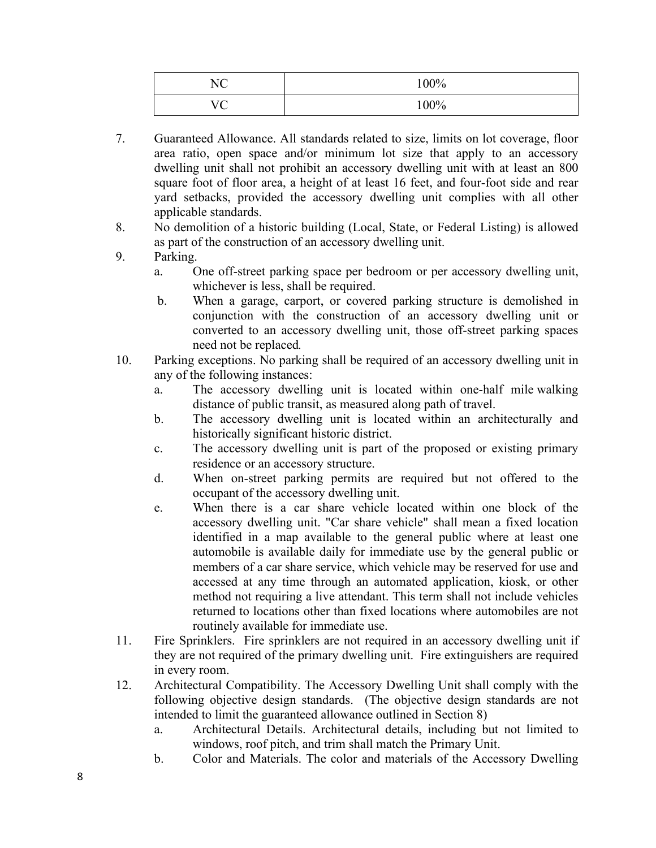| $\mathbf{M}$<br>◝   | 100%    |
|---------------------|---------|
| $T$ $T$ $\cap$<br>╰ | $100\%$ |

- 7. Guaranteed Allowance. All standards related to size, limits on lot coverage, floor area ratio, open space and/or minimum lot size that apply to an accessory dwelling unit shall not prohibit an accessory dwelling unit with at least an 800 square foot of floor area, a height of at least 16 feet, and four-foot side and rear yard setbacks, provided the accessory dwelling unit complies with all other applicable standards.
- 8. No demolition of a historic building (Local, State, or Federal Listing) is allowed as part of the construction of an accessory dwelling unit.
- 9. Parking.
	- a. One off-street parking space per bedroom or per accessory dwelling unit, whichever is less, shall be required.
	- b. When a garage, carport, or covered parking structure is demolished in conjunction with the construction of an accessory dwelling unit or converted to an accessory dwelling unit, those off-street parking spaces need not be replaced*.*
- 10. Parking exceptions. No parking shall be required of an accessory dwelling unit in any of the following instances:
	- a. The accessory dwelling unit is located within one-half mile walking distance of public transit, as measured along path of travel.
	- b. The accessory dwelling unit is located within an architecturally and historically significant historic district.
	- c. The accessory dwelling unit is part of the proposed or existing primary residence or an accessory structure.
	- d. When on-street parking permits are required but not offered to the occupant of the accessory dwelling unit.
	- e. When there is a car share vehicle located within one block of the accessory dwelling unit. "Car share vehicle" shall mean a fixed location identified in a map available to the general public where at least one automobile is available daily for immediate use by the general public or members of a car share service, which vehicle may be reserved for use and accessed at any time through an automated application, kiosk, or other method not requiring a live attendant. This term shall not include vehicles returned to locations other than fixed locations where automobiles are not routinely available for immediate use.
- 11. Fire Sprinklers. Fire sprinklers are not required in an accessory dwelling unit if they are not required of the primary dwelling unit. Fire extinguishers are required in every room.
- 12. Architectural Compatibility. The Accessory Dwelling Unit shall comply with the following objective design standards. (The objective design standards are not intended to limit the guaranteed allowance outlined in Section 8)
	- a. Architectural Details. Architectural details, including but not limited to windows, roof pitch, and trim shall match the Primary Unit.
	- b. Color and Materials. The color and materials of the Accessory Dwelling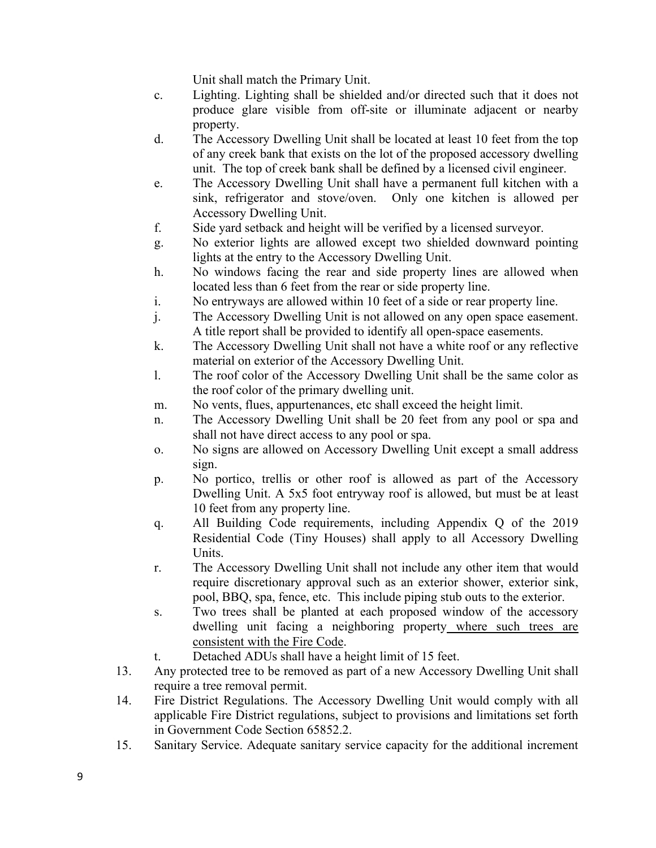Unit shall match the Primary Unit.

- c. Lighting. Lighting shall be shielded and/or directed such that it does not produce glare visible from off-site or illuminate adjacent or nearby property.
- d. The Accessory Dwelling Unit shall be located at least 10 feet from the top of any creek bank that exists on the lot of the proposed accessory dwelling unit. The top of creek bank shall be defined by a licensed civil engineer.
- e. The Accessory Dwelling Unit shall have a permanent full kitchen with a sink, refrigerator and stove/oven. Only one kitchen is allowed per Accessory Dwelling Unit.
- f. Side yard setback and height will be verified by a licensed surveyor.
- g. No exterior lights are allowed except two shielded downward pointing lights at the entry to the Accessory Dwelling Unit.
- h. No windows facing the rear and side property lines are allowed when located less than 6 feet from the rear or side property line.
- i. No entryways are allowed within 10 feet of a side or rear property line.
- j. The Accessory Dwelling Unit is not allowed on any open space easement. A title report shall be provided to identify all open-space easements.
- k. The Accessory Dwelling Unit shall not have a white roof or any reflective material on exterior of the Accessory Dwelling Unit.
- l. The roof color of the Accessory Dwelling Unit shall be the same color as the roof color of the primary dwelling unit.
- m. No vents, flues, appurtenances, etc shall exceed the height limit.
- n. The Accessory Dwelling Unit shall be 20 feet from any pool or spa and shall not have direct access to any pool or spa.
- o. No signs are allowed on Accessory Dwelling Unit except a small address sign.
- p. No portico, trellis or other roof is allowed as part of the Accessory Dwelling Unit. A 5x5 foot entryway roof is allowed, but must be at least 10 feet from any property line.
- q. All Building Code requirements, including Appendix Q of the 2019 Residential Code (Tiny Houses) shall apply to all Accessory Dwelling Units.
- r. The Accessory Dwelling Unit shall not include any other item that would require discretionary approval such as an exterior shower, exterior sink, pool, BBQ, spa, fence, etc. This include piping stub outs to the exterior.
- s. Two trees shall be planted at each proposed window of the accessory dwelling unit facing a neighboring property where such trees are consistent with the Fire Code.
- t. Detached ADUs shall have a height limit of 15 feet.
- 13. Any protected tree to be removed as part of a new Accessory Dwelling Unit shall require a tree removal permit.
- 14. Fire District Regulations. The Accessory Dwelling Unit would comply with all applicable Fire District regulations, subject to provisions and limitations set forth in Government Code Section 65852.2.
- 15. Sanitary Service. Adequate sanitary service capacity for the additional increment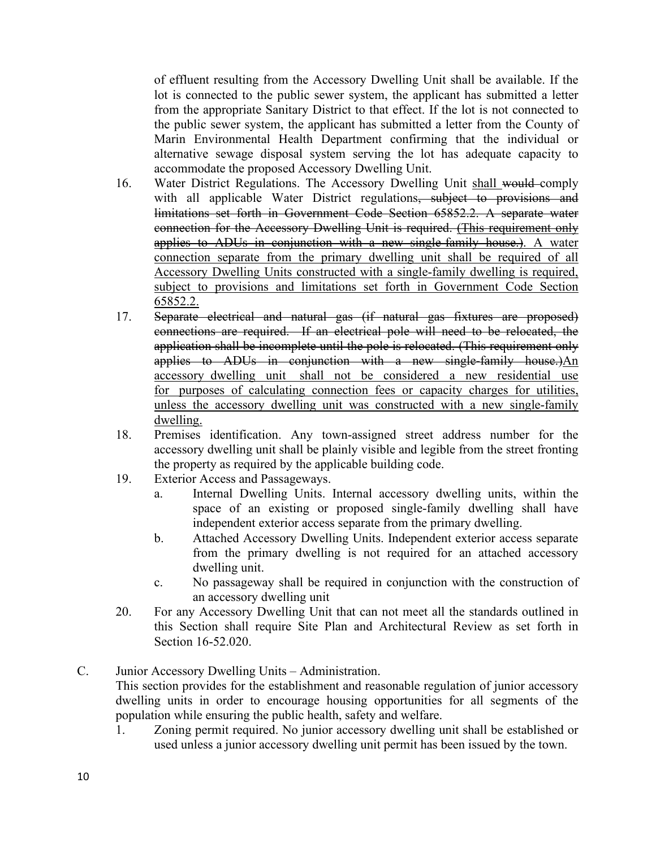of effluent resulting from the Accessory Dwelling Unit shall be available. If the lot is connected to the public sewer system, the applicant has submitted a letter from the appropriate Sanitary District to that effect. If the lot is not connected to the public sewer system, the applicant has submitted a letter from the County of Marin Environmental Health Department confirming that the individual or alternative sewage disposal system serving the lot has adequate capacity to accommodate the proposed Accessory Dwelling Unit.

- 16. Water District Regulations. The Accessory Dwelling Unit shall would comply with all applicable Water District regulations, subject to provisions and limitations set forth in Government Code Section 65852.2. A separate water connection for the Accessory Dwelling Unit is required. (This requirement only applies to ADUs in conjunction with a new single-family house.). A water connection separate from the primary dwelling unit shall be required of all Accessory Dwelling Units constructed with a single-family dwelling is required, subject to provisions and limitations set forth in Government Code Section 65852.2.
- 17. Separate electrical and natural gas (if natural gas fixtures are proposed) connections are required. If an electrical pole will need to be relocated, the application shall be incomplete until the pole is relocated. (This requirement only applies to ADUs in conjunction with a new single-family house.)An accessory dwelling unit shall not be considered a new residential use for purposes of calculating connection fees or capacity charges for utilities, unless the accessory dwelling unit was constructed with a new single-family dwelling.
- 18. Premises identification. Any town-assigned street address number for the accessory dwelling unit shall be plainly visible and legible from the street fronting the property as required by the applicable building code.
- 19. Exterior Access and Passageways.
	- a. Internal Dwelling Units. Internal accessory dwelling units, within the space of an existing or proposed single-family dwelling shall have independent exterior access separate from the primary dwelling.
	- b. Attached Accessory Dwelling Units. Independent exterior access separate from the primary dwelling is not required for an attached accessory dwelling unit.
	- c. No passageway shall be required in conjunction with the construction of an accessory dwelling unit
- 20. For any Accessory Dwelling Unit that can not meet all the standards outlined in this Section shall require Site Plan and Architectural Review as set forth in Section 16-52.020.
- C. Junior Accessory Dwelling Units Administration.

This section provides for the establishment and reasonable regulation of junior accessory dwelling units in order to encourage housing opportunities for all segments of the population while ensuring the public health, safety and welfare.

1. Zoning permit required. No junior accessory dwelling unit shall be established or used unless a junior accessory dwelling unit permit has been issued by the town.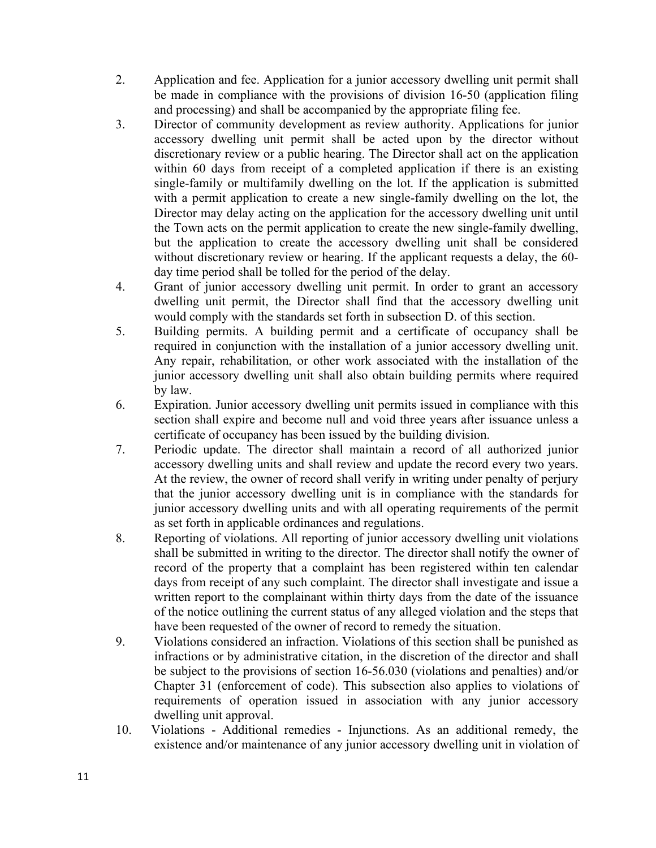- 2. Application and fee. Application for a junior accessory dwelling unit permit shall be made in compliance with the provisions of division 16-50 (application filing and processing) and shall be accompanied by the appropriate filing fee.
- 3. Director of community development as review authority. Applications for junior accessory dwelling unit permit shall be acted upon by the director without discretionary review or a public hearing. The Director shall act on the application within 60 days from receipt of a completed application if there is an existing single-family or multifamily dwelling on the lot. If the application is submitted with a permit application to create a new single-family dwelling on the lot, the Director may delay acting on the application for the accessory dwelling unit until the Town acts on the permit application to create the new single-family dwelling, but the application to create the accessory dwelling unit shall be considered without discretionary review or hearing. If the applicant requests a delay, the 60 day time period shall be tolled for the period of the delay.
- 4. Grant of junior accessory dwelling unit permit. In order to grant an accessory dwelling unit permit, the Director shall find that the accessory dwelling unit would comply with the standards set forth in subsection D. of this section.
- 5. Building permits. A building permit and a certificate of occupancy shall be required in conjunction with the installation of a junior accessory dwelling unit. Any repair, rehabilitation, or other work associated with the installation of the junior accessory dwelling unit shall also obtain building permits where required by law.
- 6. Expiration. Junior accessory dwelling unit permits issued in compliance with this section shall expire and become null and void three years after issuance unless a certificate of occupancy has been issued by the building division.
- 7. Periodic update. The director shall maintain a record of all authorized junior accessory dwelling units and shall review and update the record every two years. At the review, the owner of record shall verify in writing under penalty of perjury that the junior accessory dwelling unit is in compliance with the standards for junior accessory dwelling units and with all operating requirements of the permit as set forth in applicable ordinances and regulations.
- 8. Reporting of violations. All reporting of junior accessory dwelling unit violations shall be submitted in writing to the director. The director shall notify the owner of record of the property that a complaint has been registered within ten calendar days from receipt of any such complaint. The director shall investigate and issue a written report to the complainant within thirty days from the date of the issuance of the notice outlining the current status of any alleged violation and the steps that have been requested of the owner of record to remedy the situation.
- 9. Violations considered an infraction. Violations of this section shall be punished as infractions or by administrative citation, in the discretion of the director and shall be subject to the provisions of section 16-56.030 (violations and penalties) and/or Chapter 31 (enforcement of code). This subsection also applies to violations of requirements of operation issued in association with any junior accessory dwelling unit approval.
- 10. Violations Additional remedies Injunctions. As an additional remedy, the existence and/or maintenance of any junior accessory dwelling unit in violation of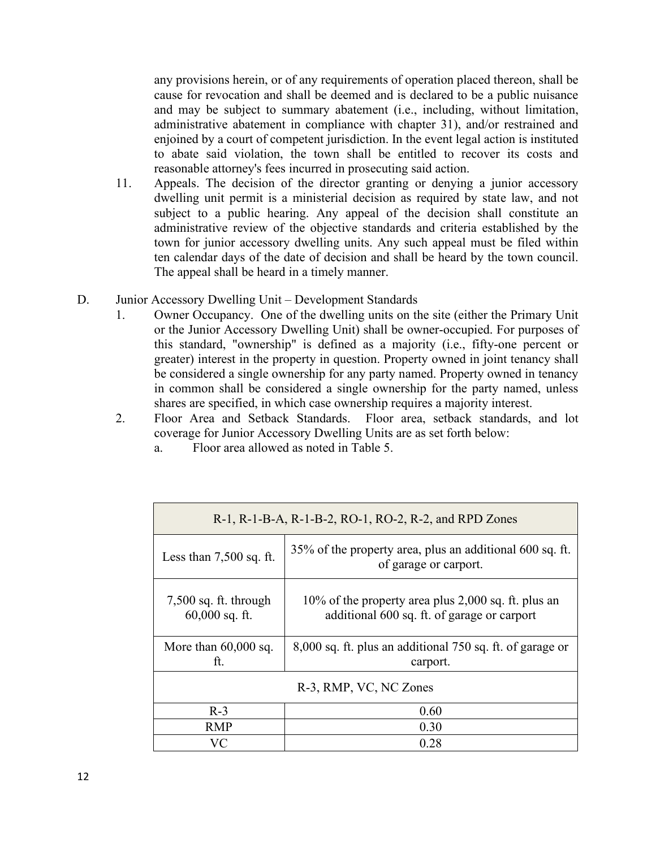any provisions herein, or of any requirements of operation placed thereon, shall be cause for revocation and shall be deemed and is declared to be a public nuisance and may be subject to summary abatement (i.e., including, without limitation, administrative abatement in compliance with chapter 31), and/or restrained and enjoined by a court of competent jurisdiction. In the event legal action is instituted to abate said violation, the town shall be entitled to recover its costs and reasonable attorney's fees incurred in prosecuting said action.

- 11. Appeals. The decision of the director granting or denying a junior accessory dwelling unit permit is a ministerial decision as required by state law, and not subject to a public hearing. Any appeal of the decision shall constitute an administrative review of the objective standards and criteria established by the town for junior accessory dwelling units. Any such appeal must be filed within ten calendar days of the date of decision and shall be heard by the town council. The appeal shall be heard in a timely manner.
- D. Junior Accessory Dwelling Unit Development Standards
	- 1. Owner Occupancy. One of the dwelling units on the site (either the Primary Unit or the Junior Accessory Dwelling Unit) shall be owner-occupied. For purposes of this standard, "ownership" is defined as a majority (i.e., fifty-one percent or greater) interest in the property in question. Property owned in joint tenancy shall be considered a single ownership for any party named. Property owned in tenancy in common shall be considered a single ownership for the party named, unless shares are specified, in which case ownership requires a majority interest.
	- 2. Floor Area and Setback Standards. Floor area, setback standards, and lot coverage for Junior Accessory Dwelling Units are as set forth below:
		- a. Floor area allowed as noted in Table 5.

| R-1, R-1-B-A, R-1-B-2, RO-1, RO-2, R-2, and RPD Zones |                                                                                                    |  |  |
|-------------------------------------------------------|----------------------------------------------------------------------------------------------------|--|--|
| Less than $7,500$ sq. ft.                             | 35% of the property area, plus an additional 600 sq. ft.<br>of garage or carport.                  |  |  |
| $7,500$ sq. ft. through<br>$60,000$ sq. ft.           | 10% of the property area plus 2,000 sq. ft. plus an<br>additional 600 sq. ft. of garage or carport |  |  |
| More than $60,000$ sq.<br>ft.                         | 8,000 sq. ft. plus an additional 750 sq. ft. of garage or<br>carport.                              |  |  |
| R-3, RMP, VC, NC Zones                                |                                                                                                    |  |  |
| $R-3$                                                 | 0.60                                                                                               |  |  |
| <b>RMP</b>                                            | 0.30                                                                                               |  |  |
| VС                                                    | 0.28                                                                                               |  |  |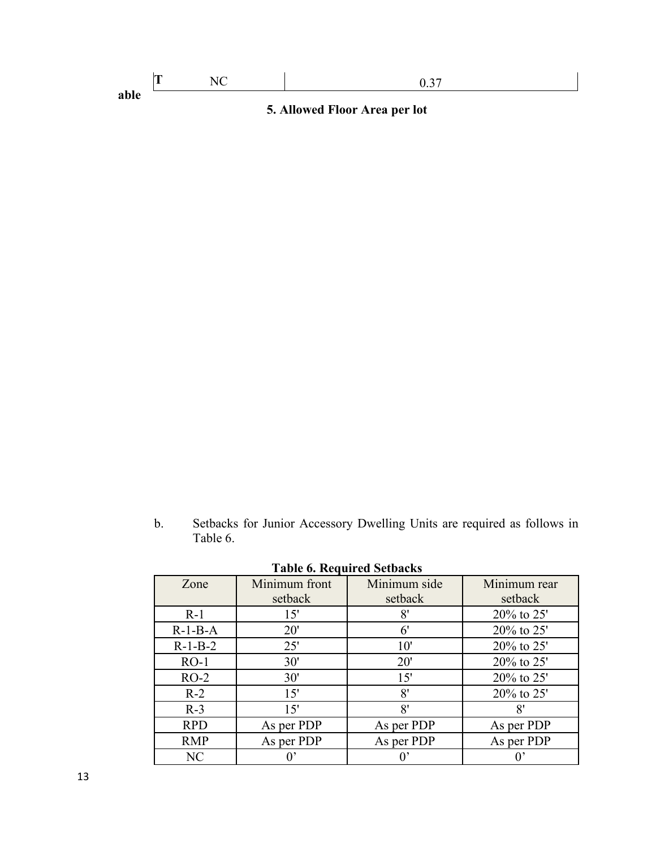| able | 5. Allowed Floor Area per lot |  |  |  |
|------|-------------------------------|--|--|--|

b. Setbacks for Junior Accessory Dwelling Units are required as follows in Table 6.

| Zone       | Minimum front<br>setback | Minimum side<br>setback | Minimum rear<br>setback |
|------------|--------------------------|-------------------------|-------------------------|
|            |                          |                         |                         |
| $R-1$      | 15'                      | 8'                      | $20\%$ to 25'           |
| $R-1-B-A$  | 20'                      | $6^{\prime}$            | $20\%$ to 25'           |
| $R-1-B-2$  | 25'                      | 10'                     | 20% to 25'              |
| $RO-1$     | 30'                      | 20'                     | $20\%$ to 25'           |
| $RO-2$     | 30'                      | 15'                     | $20\%$ to 25'           |
| $R-2$      | 15'                      | 8'                      | $20\%$ to 25'           |
| $R-3$      | 15'                      | 8'                      | 8'                      |
| <b>RPD</b> | As per PDP               | As per PDP              | As per PDP              |
| <b>RMP</b> | As per PDP               | As per PDP              | As per PDP              |
| NC         |                          |                         |                         |

**Table 6. Required Setbacks**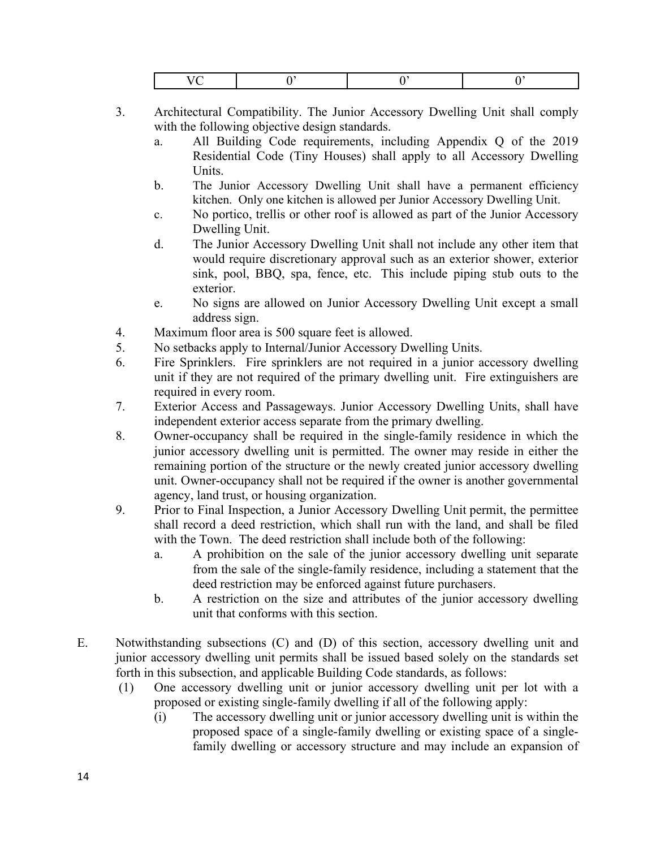- 3. Architectural Compatibility. The Junior Accessory Dwelling Unit shall comply with the following objective design standards.
	- a. All Building Code requirements, including Appendix Q of the 2019 Residential Code (Tiny Houses) shall apply to all Accessory Dwelling Units.
	- b. The Junior Accessory Dwelling Unit shall have a permanent efficiency kitchen. Only one kitchen is allowed per Junior Accessory Dwelling Unit.
	- c. No portico, trellis or other roof is allowed as part of the Junior Accessory Dwelling Unit.
	- d. The Junior Accessory Dwelling Unit shall not include any other item that would require discretionary approval such as an exterior shower, exterior sink, pool, BBQ, spa, fence, etc. This include piping stub outs to the exterior.
	- e. No signs are allowed on Junior Accessory Dwelling Unit except a small address sign.
- 4. Maximum floor area is 500 square feet is allowed.
- 5. No setbacks apply to Internal/Junior Accessory Dwelling Units.
- 6. Fire Sprinklers. Fire sprinklers are not required in a junior accessory dwelling unit if they are not required of the primary dwelling unit. Fire extinguishers are required in every room.
- 7. Exterior Access and Passageways. Junior Accessory Dwelling Units, shall have independent exterior access separate from the primary dwelling.
- 8. Owner-occupancy shall be required in the single-family residence in which the junior accessory dwelling unit is permitted. The owner may reside in either the remaining portion of the structure or the newly created junior accessory dwelling unit. Owner-occupancy shall not be required if the owner is another governmental agency, land trust, or housing organization.
- 9. Prior to Final Inspection, a Junior Accessory Dwelling Unit permit, the permittee shall record a deed restriction, which shall run with the land, and shall be filed with the Town. The deed restriction shall include both of the following:
	- a. A prohibition on the sale of the junior accessory dwelling unit separate from the sale of the single-family residence, including a statement that the deed restriction may be enforced against future purchasers.
	- b. A restriction on the size and attributes of the junior accessory dwelling unit that conforms with this section.
- E. Notwithstanding subsections (C) and (D) of this section, accessory dwelling unit and junior accessory dwelling unit permits shall be issued based solely on the standards set forth in this subsection, and applicable Building Code standards, as follows:
	- (1) One accessory dwelling unit or junior accessory dwelling unit per lot with a proposed or existing single-family dwelling if all of the following apply:
		- (i) The accessory dwelling unit or junior accessory dwelling unit is within the proposed space of a single-family dwelling or existing space of a singlefamily dwelling or accessory structure and may include an expansion of